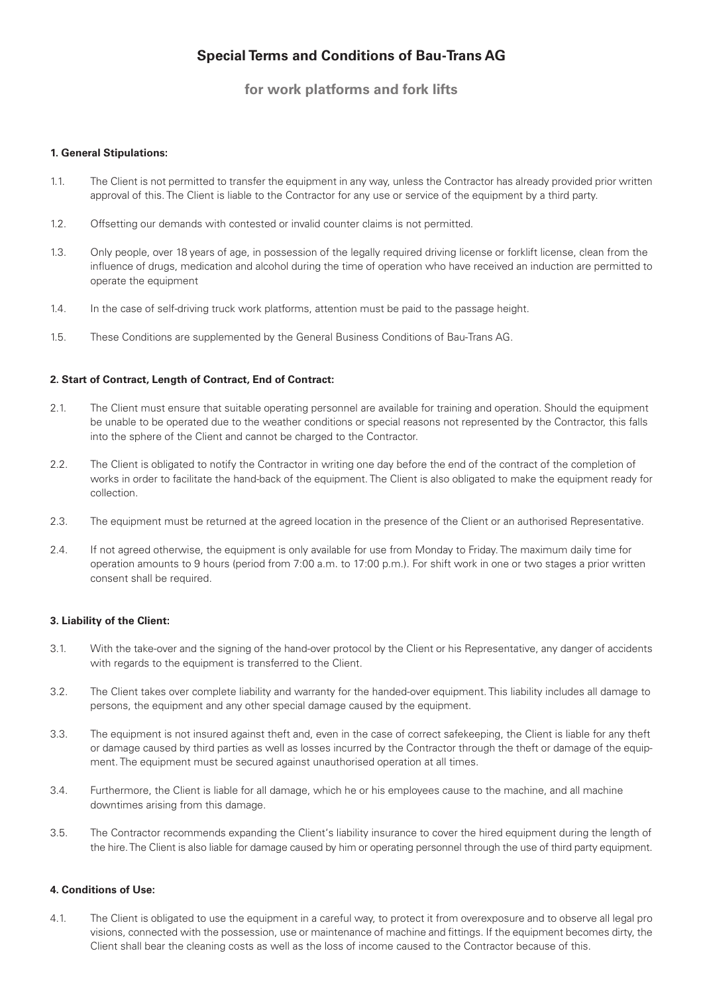# **Special Terms and Conditions of Bau-Trans AG**

**for work platforms and fork lifts**

#### **1. General Stipulations:**

- 1.1. The Client is not permitted to transfer the equipment in any way, unless the Contractor has already provided prior written approval of this. The Client is liable to the Contractor for any use or service of the equipment by a third party.
- 1.2. Offsetting our demands with contested or invalid counter claims is not permitted.
- 1.3. Only people, over 18 years of age, in possession of the legally required driving license or forklift license, clean from the influence of drugs, medication and alcohol during the time of operation who have received an induction are permitted to operate the equipment
- 1.4. In the case of self-driving truck work platforms, attention must be paid to the passage height.
- 1.5. These Conditions are supplemented by the General Business Conditions of Bau-Trans AG.

### **2. Start of Contract, Length of Contract, End of Contract:**

- 2.1. The Client must ensure that suitable operating personnel are available for training and operation. Should the equipment be unable to be operated due to the weather conditions or special reasons not represented by the Contractor, this falls into the sphere of the Client and cannot be charged to the Contractor.
- 2.2. The Client is obligated to notify the Contractor in writing one day before the end of the contract of the completion of works in order to facilitate the hand-back of the equipment. The Client is also obligated to make the equipment ready for collection.
- 2.3. The equipment must be returned at the agreed location in the presence of the Client or an authorised Representative.
- 2.4. If not agreed otherwise, the equipment is only available for use from Monday to Friday. The maximum daily time for operation amounts to 9 hours (period from 7:00 a.m. to 17:00 p.m.). For shift work in one or two stages a prior written consent shall be required.

#### **3. Liability of the Client:**

- 3.1. With the take-over and the signing of the hand-over protocol by the Client or his Representative, any danger of accidents with regards to the equipment is transferred to the Client.
- 3.2. The Client takes over complete liability and warranty for the handed-over equipment. This liability includes all damage to persons, the equipment and any other special damage caused by the equipment.
- 3.3. The equipment is not insured against theft and, even in the case of correct safekeeping, the Client is liable for any theft or damage caused by third parties as well as losses incurred by the Contractor through the theft or damage of the equipment. The equipment must be secured against unauthorised operation at all times.
- 3.4. Furthermore, the Client is liable for all damage, which he or his employees cause to the machine, and all machine downtimes arising from this damage.
- 3.5. The Contractor recommends expanding the Client's liability insurance to cover the hired equipment during the length of the hire. The Client is also liable for damage caused by him or operating personnel through the use of third party equipment.

## **4. Conditions of Use:**

4.1. The Client is obligated to use the equipment in a careful way, to protect it from overexposure and to observe all legal pro visions, connected with the possession, use or maintenance of machine and fittings. If the equipment becomes dirty, the Client shall bear the cleaning costs as well as the loss of income caused to the Contractor because of this.